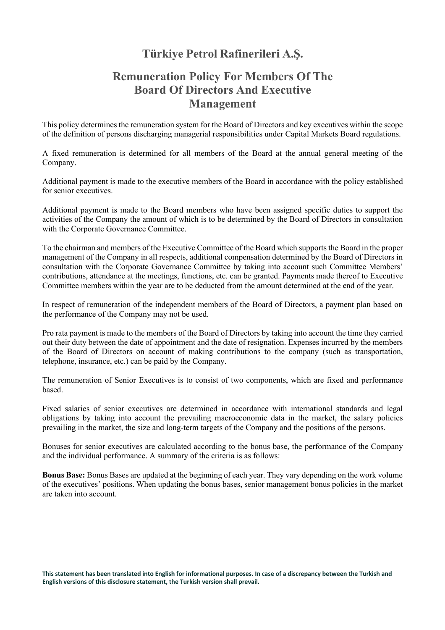## **Türkiye Petrol Rafinerileri A.Ş.**

## **Remuneration Policy For Members Of The Board Of Directors And Executive Management**

This policy determines the remuneration system for the Board of Directors and key executives within the scope of the definition of persons discharging managerial responsibilities under Capital Markets Board regulations.

A fixed remuneration is determined for all members of the Board at the annual general meeting of the Company.

Additional payment is made to the executive members of the Board in accordance with the policy established for senior executives.

Additional payment is made to the Board members who have been assigned specific duties to support the activities of the Company the amount of which is to be determined by the Board of Directors in consultation with the Corporate Governance Committee.

To the chairman and members of the Executive Committee of the Board which supports the Board in the proper management of the Company in all respects, additional compensation determined by the Board of Directors in consultation with the Corporate Governance Committee by taking into account such Committee Members' contributions, attendance at the meetings, functions, etc. can be granted. Payments made thereof to Executive Committee members within the year are to be deducted from the amount determined at the end of the year.

In respect of remuneration of the independent members of the Board of Directors, a payment plan based on the performance of the Company may not be used.

Pro rata payment is made to the members of the Board of Directors by taking into account the time they carried out their duty between the date of appointment and the date of resignation. Expenses incurred by the members of the Board of Directors on account of making contributions to the company (such as transportation, telephone, insurance, etc.) can be paid by the Company.

The remuneration of Senior Executives is to consist of two components, which are fixed and performance based.

Fixed salaries of senior executives are determined in accordance with international standards and legal obligations by taking into account the prevailing macroeconomic data in the market, the salary policies prevailing in the market, the size and long-term targets of the Company and the positions of the persons.

Bonuses for senior executives are calculated according to the bonus base, the performance of the Company and the individual performance. A summary of the criteria is as follows:

**Bonus Base:** Bonus Bases are updated at the beginning of each year. They vary depending on the work volume of the executives' positions. When updating the bonus bases, senior management bonus policies in the market are taken into account.